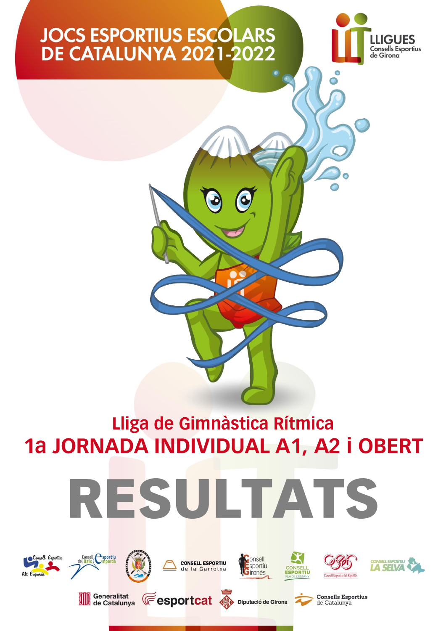

Lliga de Gimnàstica Rítmica 1a JORNADA INDIVIDUAL A1, A2 i OBERT







Consell esportiu











**Consells Esportius** de Catalunya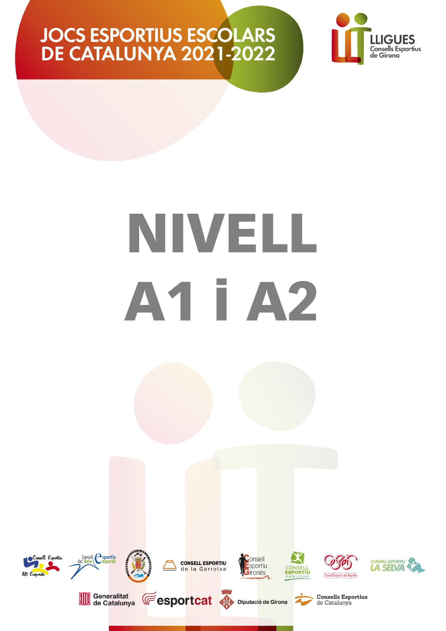

# NIVELL A1 I A2

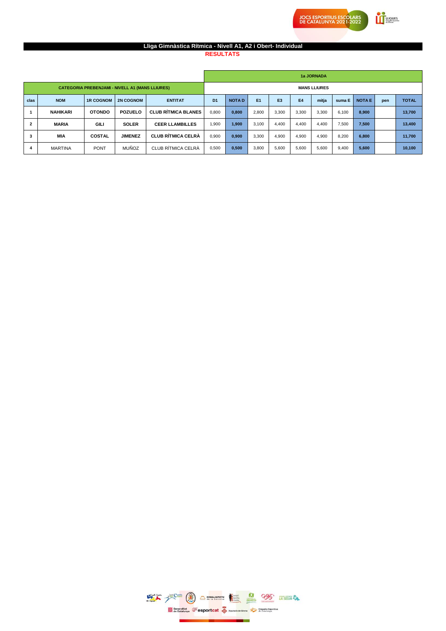#### **Lliga Gimnàstica Rítmica - Nivell A1, A2 i Obert- Individual**

**RESULTATS** 

|                |                 |                  |                                                        |                            |                |              |       |                |           | 1a JORNADA          |        |              |     |              |
|----------------|-----------------|------------------|--------------------------------------------------------|----------------------------|----------------|--------------|-------|----------------|-----------|---------------------|--------|--------------|-----|--------------|
|                |                 |                  | <b>CATEGORIA PREBENJAMI - NIVELL A1 (MANS LLIURES)</b> |                            |                |              |       |                |           | <b>MANS LLIURES</b> |        |              |     |              |
| clas           | <b>NOM</b>      | <b>1R COGNOM</b> | <b>2N COGNOM</b>                                       | <b>ENTITAT</b>             | D <sub>1</sub> | <b>NOTAD</b> | E1    | E <sub>3</sub> | <b>E4</b> | mitja               | suma E | <b>NOTAE</b> | pen | <b>TOTAL</b> |
|                | <b>NAHIKARI</b> | <b>OTONDO</b>    | <b>POZUELO</b>                                         | <b>CLUB RÍTMICA BLANES</b> | 0.800          | 0.800        | 2.800 | 3.300          | 3.300     | 3.300               | 6.100  | 8.900        |     | 13,700       |
| $\overline{2}$ | <b>MARIA</b>    | <b>GILI</b>      | <b>SOLER</b>                                           | <b>CEER LLAMBILLES</b>     | 1,900          | 1,900        | 3,100 | 4.400          | 4.400     | 4.400               | 7.500  | 7,500        |     | 13,400       |
| 3              | <b>MIA</b>      | <b>COSTAL</b>    | <b>JIMENEZ</b>                                         | <b>CLUB RÍTMICA CELRÀ</b>  | 0.900          | 0.900        | 3.300 | 4.900          | 4.900     | 4.900               | 8.200  | 6.800        |     | 11,700       |
| 4              | <b>MARTINA</b>  | <b>PONT</b>      | <b>MUÑOZ</b>                                           | CLUB RÍTMICA CELRÀ         | 0,500          | 0,500        | 3,800 | 5,600          | 5,600     | 5,600               | 9,400  | 5,600        |     | 10,100       |

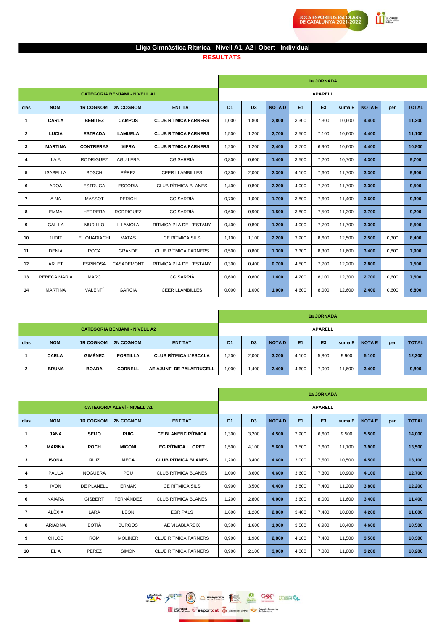**Exercise** 

### Lliga Gimnàstica Rítmica - Nivell A1, A2 i Obert - Individual

#### **RESULTATS**

|                |                     |                     |                                      |                             |                |                |              |                | 1a JORNADA     |        |               |       |              |
|----------------|---------------------|---------------------|--------------------------------------|-----------------------------|----------------|----------------|--------------|----------------|----------------|--------|---------------|-------|--------------|
|                |                     |                     | <b>CATEGORIA BENJAMÍ - NIVELL A1</b> |                             |                |                |              |                | <b>APARELL</b> |        |               |       |              |
| clas           | <b>NOM</b>          | <b>1R COGNOM</b>    | <b>2N COGNOM</b>                     | <b>ENTITAT</b>              | D <sub>1</sub> | D <sub>3</sub> | <b>NOTAD</b> | E <sub>1</sub> | E <sub>3</sub> | suma E | <b>NOTA E</b> | pen   | <b>TOTAL</b> |
| 1              | <b>CARLA</b>        | <b>BENITEZ</b>      | <b>CAMPOS</b>                        | <b>CLUB RÍTMICA FARNERS</b> | 1,000          | 1,800          | 2,800        | 3,300          | 7,300          | 10,600 | 4,400         |       | 11,200       |
| $\overline{2}$ | LUCIA               | <b>ESTRADA</b>      | <b>LAMUELA</b>                       | <b>CLUB RÍTMICA FARNERS</b> | 1.500          | 1,200          | 2,700        | 3.500          | 7.100          | 10,600 | 4,400         |       | 11.100       |
| 3              | <b>MARTINA</b>      | <b>CONTRERAS</b>    | <b>XIFRA</b>                         | <b>CLUB RÍTMICA FARNERS</b> | 1,200          | 1,200          | 2,400        | 3.700          | 6,900          | 10,600 | 4,400         |       | 10,800       |
| 4              | LAIA                | <b>RODRIGUEZ</b>    | <b>AGUILERA</b>                      | <b>CG SARRIÀ</b>            | 0,800          | 0,600          | 1,400        | 3,500          | 7,200          | 10,700 | 4,300         |       | 9,700        |
| 5              | <b>ISABELLA</b>     | <b>BOSCH</b>        | PÉREZ                                | <b>CEER LLAMBILLES</b>      | 0,300          | 2,000          | 2,300        | 4.100          | 7,600          | 11,700 | 3,300         |       | 9.600        |
| 6              | <b>AROA</b>         | <b>ESTRUGA</b>      | <b>ESCORIA</b>                       | <b>CLUB RÍTMICA BLANES</b>  | 1,400          | 0,800          | 2,200        | 4,000          | 7,700          | 11,700 | 3,300         |       | 9,500        |
| $\overline{7}$ | <b>AINA</b>         | <b>MASSOT</b>       | PERICH                               | <b>CG SARRIÀ</b>            | 0,700          | 1,000          | 1,700        | 3,800          | 7,600          | 11,400 | 3,600         |       | 9,300        |
| 8              | <b>EMMA</b>         | <b>HERRERA</b>      | <b>RODRIGUEZ</b>                     | CG SARRIÀ                   | 0,600          | 0.900          | 1,500        | 3.800          | 7,500          | 11,300 | 3.700         |       | 9.200        |
| 9              | <b>GAL-LA</b>       | <b>MURILLO</b>      | <b>ILLAMOLA</b>                      | RÍTMICA PLA DE L'ESTANY     | 0.400          | 0.800          | 1,200        | 4.000          | 7.700          | 11.700 | 3,300         |       | 8,500        |
| 10             | <b>JUDIT</b>        | <b>EL OUARIACHI</b> | <b>MATAS</b>                         | CE RÍTMICA SILS             | 1,100          | 1,100          | 2,200        | 3,900          | 8,600          | 12,500 | 2,500         | 0,300 | 8,400        |
| 11             | <b>DENIA</b>        | <b>ROCA</b>         | <b>GRANDE</b>                        | <b>CLUB RÍTMICA FARNERS</b> | 0,500          | 0,800          | 1,300        | 3,300          | 8,300          | 11,600 | 3,400         | 0,800 | 7,900        |
| 12             | ARLET               | <b>ESPINOSA</b>     | CASADEMONT                           | RÍTMICA PLA DE L'ESTANY     | 0.300          | 0.400          | 0.700        | 4.500          | 7.700          | 12,200 | 2,800         |       | 7,500        |
| 13             | <b>REBECA MARIA</b> | <b>MARC</b>         |                                      | CG SARRIÀ                   | 0,600          | 0,800          | 1,400        | 4,200          | 8,100          | 12,300 | 2,700         | 0,600 | 7,500        |
| 14             | <b>MARTINA</b>      | VALENTÍ             | <b>GARCIA</b>                        | <b>CEER LLAMBILLES</b>      | 0.000          | 1,000          | 1,000        | 4,600          | 8,000          | 12,600 | 2,400         | 0,600 | 6,800        |

|      |              |                  |                                      |                              |                                                                                                                        |       |       |       | 1a JORNADA     |              |       |  |        |
|------|--------------|------------------|--------------------------------------|------------------------------|------------------------------------------------------------------------------------------------------------------------|-------|-------|-------|----------------|--------------|-------|--|--------|
|      |              |                  | <b>CATEGORIA BENJAMÍ - NIVELL A2</b> |                              |                                                                                                                        |       |       |       | <b>APARELL</b> |              |       |  |        |
| clas | <b>NOM</b>   | <b>1R COGNOM</b> | <b>2N COGNOM</b>                     | <b>ENTITAT</b>               | <b>NOTAD</b><br>E <sub>1</sub><br>E <sub>3</sub><br><b>NOTA E</b><br>D <sub>1</sub><br>D <sub>3</sub><br>suma E<br>pen |       |       |       |                | <b>TOTAL</b> |       |  |        |
|      | <b>CARLA</b> | <b>GIMÉNEZ</b>   | <b>PORTILLA</b>                      | <b>CLUB RÍTMICA L'ESCALA</b> | 1,200                                                                                                                  | 2,000 | 3,200 | 4,100 | 5,800          | 9,900        | 5,100 |  | 12.300 |
| 2    | <b>BRUNA</b> | <b>BOADA</b>     | <b>CORNELL</b>                       | AE AJUNT. DE PALAFRUGELL     | 1,000                                                                                                                  | 1,400 | 2,400 | 4,600 | 7,000          | 11,600       | 3,400 |  | 9,800  |

|                |                |                   |                                    |                             |                |                |              |                | 1a JORNADA     |        |               |     |              |
|----------------|----------------|-------------------|------------------------------------|-----------------------------|----------------|----------------|--------------|----------------|----------------|--------|---------------|-----|--------------|
|                |                |                   | <b>CATEGORIA ALEVÍ - NIVELL A1</b> |                             |                |                |              |                | <b>APARELL</b> |        |               |     |              |
| clas           | <b>NOM</b>     | <b>1R COGNOM</b>  | <b>2N COGNOM</b>                   | <b>ENTITAT</b>              | D <sub>1</sub> | D <sub>3</sub> | <b>NOTAD</b> | E <sub>1</sub> | E <sub>3</sub> | suma E | <b>NOTA E</b> | pen | <b>TOTAL</b> |
| 1              | <b>JANA</b>    | <b>SEIJO</b>      | <b>PUIG</b>                        | <b>CE BLANENC RÍTMICA</b>   | 1,300          | 3,200          | 4,500        | 2,900          | 6,600          | 9,500  | 5,500         |     | 14,000       |
| $\overline{2}$ | <b>MARINA</b>  | POCH              | <b>MICONI</b>                      | <b>EG RÍTMICA LLORET</b>    | 1,500          | 4.100          | 5,600        | 3,500          | 7,600          | 11.100 | 3,900         |     | 13,500       |
| 3              | <b>ISONA</b>   | <b>RUIZ</b>       | <b>MECA</b>                        | <b>CLUB RÍTMICA BLANES</b>  | 1,200          | 3,400          | 4,600        | 3,000          | 7,500          | 10,500 | 4,500         |     | 13,100       |
| 4              | PAULA          | <b>NOGUERA</b>    | POU                                | <b>CLUB RÍTMICA BLANES</b>  | 1,000          | 3,600          | 4,600        | 3,600          | 7,300          | 10,900 | 4,100         |     | 12,700       |
| 5              | <b>IVON</b>    | <b>DE PLANELL</b> | <b>ERMAK</b>                       | CE RÍTMICA SILS             | 0,900          | 3.500          | 4.400        | 3,800          | 7,400          | 11,200 | 3,800         |     | 12,200       |
| 6              | <b>NAIARA</b>  | <b>GISBERT</b>    | FERNÁNDEZ                          | <b>CLUB RÍTMICA BLANES</b>  | 1,200          | 2,800          | 4,000        | 3,600          | 8,000          | 11,600 | 3,400         |     | 11,400       |
| $\overline{7}$ | ALÈXIA         | LARA              | <b>LEON</b>                        | <b>EGR PALS</b>             | 1,600          | 1,200          | 2,800        | 3,400          | 7,400          | 10,800 | 4,200         |     | 11,000       |
| 8              | <b>ARIADNA</b> | <b>BOTIÀ</b>      | <b>BURGOS</b>                      | AE VILABLAREIX              | 0,300          | 1.600          | 1,900        | 3,500          | 6,900          | 10,400 | 4,600         |     | 10,500       |
| 9              | <b>CHLOE</b>   | <b>ROM</b>        | <b>MOLINER</b>                     | <b>CLUB RÍTMICA FARNERS</b> | 0,900          | 1,900          | 2,800        | 4,100          | 7,400          | 11,500 | 3,500         |     | 10,300       |
| 10             | <b>ELIA</b>    | PEREZ             | <b>SIMON</b>                       | CLUB RÍTMICA FARNERS        | 0,900          | 2.100          | 3,000        | 4,000          | 7,800          | 11,800 | 3,200         |     | 10,200       |

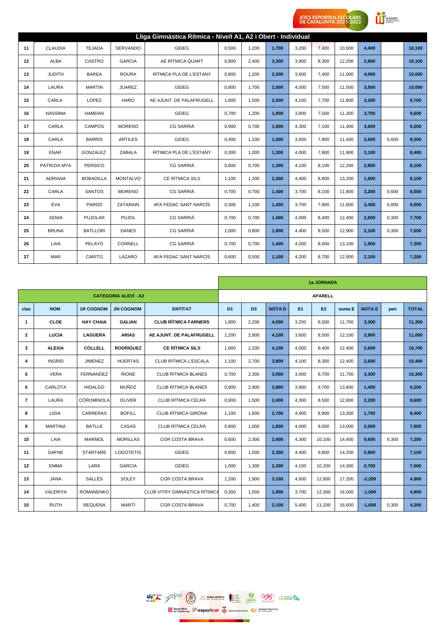**CONTINUES** 

|    |                |                  |                 | Lliga Gimnàstica Rítmica - Nivell A1, A2 i Obert - Individual |       |       |       |       |       |        |       |       |        |
|----|----------------|------------------|-----------------|---------------------------------------------------------------|-------|-------|-------|-------|-------|--------|-------|-------|--------|
| 11 | <b>CLAUDIA</b> | <b>TEJADA</b>    | <b>SERVANDO</b> | <b>GEIEG</b>                                                  | 0,500 | 1,200 | 1,700 | 3,200 | 7,400 | 10,600 | 4,400 |       | 10,100 |
| 12 | <b>ALBA</b>    | CASTRO           | <b>GARCIA</b>   | AE RÍTMICA QUART                                              | 0,900 | 2.400 | 3,300 | 3,900 | 8,300 | 12,200 | 2,800 |       | 10,100 |
| 13 | <b>JUDITH</b>  | <b>BAREA</b>     | <b>ROURA</b>    | RÍTMICA PLA DE L'ESTANY                                       | 0,800 | 1,200 | 2,000 | 3,600 | 7,400 | 11,000 | 4,000 |       | 10,000 |
| 14 | LAURA          | <b>MARTIN</b>    | <b>JUAREZ</b>   | <b>GEIEG</b>                                                  | 0,800 | 1,700 | 2,500 | 4,000 | 7,500 | 11,500 | 3,500 |       | 10,000 |
| 15 | CARLA          | LOPEZ            | <b>HARO</b>     | AE AJUNT. DE PALAFRUGELL                                      | 1,000 | 1,500 | 2,500 | 4,100 | 7,700 | 11,800 | 3,200 |       | 9,700  |
| 16 | <b>NASSIMA</b> | <b>HAMDAN</b>    |                 | <b>GEIEG</b>                                                  | 0,700 | 1,200 | 1,900 | 3,800 | 7,500 | 11,300 | 3,700 |       | 9,600  |
| 17 | CARLA          | <b>CAMPOS</b>    | <b>MORENO</b>   | <b>CG SARRIÀ</b>                                              | 0,900 | 0,700 | 1,600 | 4,300 | 7,100 | 11,400 | 3,600 |       | 9,200  |
| 18 | CARLA          | <b>BARRIS</b>    | <b>ARTILES</b>  | <b>GEIEG</b>                                                  | 0,400 | 1.100 | 1,500 | 3,600 | 7,800 | 11,400 | 3,600 | 0,600 | 8,500  |
| 19 | <b>ENAR</b>    | GONZALEZ         | ZABALA          | RÍTMICA PLA DE L'ESTANY                                       | 0,300 | 1,000 | 1,300 | 4,000 | 7,900 | 11,900 | 3,100 |       | 8,400  |
| 20 | PATRIZIA MYA   | <b>PERSICO</b>   |                 | <b>CG SARRIÀ</b>                                              | 0,600 | 0.700 | 1,300 | 4,100 | 8,100 | 12,200 | 2,800 |       | 8,100  |
| 21 | <b>ADRIANA</b> | <b>BOBADILLA</b> | <b>MONTALVO</b> | CE RÍTMICA SILS                                               | 1.100 | 1,200 | 2,300 | 4,400 | 8,800 | 13,200 | 1,800 |       | 8,100  |
| 22 | CARLA          | <b>SANTOS</b>    | <b>MORENO</b>   | <b>CG SARRIÀ</b>                                              | 0,700 | 0,700 | 1,400 | 3,700 | 8,100 | 11,800 | 3,200 | 0,600 | 8,000  |
| 23 | <b>EVA</b>     | PARDO            | <b>ZATARAIN</b> | AFA FEDAC SANT NARCÍS                                         | 0,300 | 1,100 | 1,400 | 3,700 | 7,900 | 11,600 | 3,400 | 0,800 | 8,000  |
| 24 | <b>XENIA</b>   | <b>PUJOLAR</b>   | <b>PUJOL</b>    | <b>CG SARRIÀ</b>                                              | 0,700 | 0,700 | 1,400 | 4,000 | 8,400 | 12,400 | 2,600 | 0,300 | 7,700  |
| 25 | <b>BRUNA</b>   | <b>BATLLORI</b>  | <b>DANES</b>    | <b>CG SARRIÀ</b>                                              | 1,000 | 0,800 | 1,800 | 4,400 | 8,500 | 12,900 | 2,100 | 0,300 | 7,600  |
| 26 | LAIA           | PELAYO           | <b>CORNELL</b>  | <b>CG SARRIÀ</b>                                              | 0,700 | 0,700 | 1,400 | 4,500 | 8,600 | 13,100 | 1,900 |       | 7,300  |
| 27 | <b>MAR</b>     | CARITG           | LÁZARO          | AFA FEDAC SANT NARCÍS                                         | 0,600 | 0,500 | 1,100 | 4,200 | 8,700 | 12,900 | 2,100 |       | 7,200  |

|                |                 |                  |                             |                               |                |                |              |                | 1a JORNADA     |        |               |       |              |
|----------------|-----------------|------------------|-----------------------------|-------------------------------|----------------|----------------|--------------|----------------|----------------|--------|---------------|-------|--------------|
|                |                 |                  | <b>CATEGORIA ALEVÍ - A2</b> |                               |                |                |              |                | <b>APARELL</b> |        |               |       |              |
| clas           | <b>NOM</b>      | <b>1R COGNOM</b> | <b>2N COGNOM</b>            | <b>ENTITAT</b>                | D <sub>1</sub> | D <sub>3</sub> | <b>NOTAD</b> | E <sub>1</sub> | E <sub>3</sub> | suma E | <b>NOTA E</b> | pen   | <b>TOTAL</b> |
| $\mathbf{1}$   | <b>CLOE</b>     | <b>HAY CHAIA</b> | <b>GALIAN</b>               | <b>CLUB RÍTMICA FARNERS</b>   | 1,800          | 2,200          | 4,000        | 3,200          | 8,500          | 11,700 | 3,300         |       | 11,300       |
| $\overline{2}$ | LUCIA           | <b>LAGÜERA</b>   | <b>ARIAS</b>                | AE AJUNT. DE PALAFRUGELL      | 1.200          | 2,900          | 4.100        | 3.600          | 8.500          | 12.100 | 2,900         |       | 11.000       |
| 3              | <b>ALEXIA</b>   | COLLELL          | <b>RODRIGUEZ</b>            | <b>CE RÍTMICA SILS</b>        | 1,900          | 2,200          | 4.100        | 4,000          | 8,400          | 12,400 | 2,600         |       | 10,700       |
| 4              | <b>INGRID</b>   | <b>JIMENEZ</b>   | <b>HUERTAS</b>              | CLUB RÍTMICA L'ESCALA         | 1,100          | 2,700          | 3,800        | 4,100          | 8,300          | 12,400 | 2,600         |       | 10,400       |
| 5              | <b>VERA</b>     | FERNÁNDEZ        | <b>RIONÉ</b>                | <b>CLUB RÍTMICA BLANES</b>    | 0,700          | 2,300          | 3,000        | 3.000          | 8,700          | 11,700 | 3,300         |       | 10,300       |
| 6              | <b>CARLOTA</b>  | <b>HIDALGO</b>   | <b>MUÑOZ</b>                | <b>CLUB RÍTMICA BLANES</b>    | 0,900          | 2,900          | 3,800        | 3,900          | 9,700          | 13,600 | 1,400         |       | 9,200        |
| $\overline{7}$ | LAURA           | COROMINOLA       | <b>OLIVER</b>               | CLUB RÍTMICA CELRÀ            | 0,900          | 1,500          | 2,400        | 4,300          | 8,500          | 12,800 | 2,200         |       | 8,600        |
| 8              | <b>LIDIA</b>    | <b>CARRERAS</b>  | <b>BOFILL</b>               | <b>CLUB RÍTMICA GIRONA</b>    | 1,100          | 1,600          | 2,700        | 4.400          | 8,900          | 13,300 | 1,700         |       | 8,400        |
| 9              | <b>MARTINA</b>  | <b>BATLLE</b>    | CASAS                       | CLUB RÍTMICA CELRÀ            | 0.800          | 1.000          | 1.800        | 4.000          | 9,000          | 13,000 | 2,000         |       | 7,800        |
| 10             | LAIA            | <b>MARMOL</b>    | <b>MORILLAS</b>             | <b>CGR COSTA BRAVA</b>        | 0.600          | 2,300          | 2,900        | 4,300          | 10.100         | 14,400 | 0.600         | 0.300 | 7,200        |
| 11             | <b>DAFNE</b>    | <b>STARTARE</b>  | <b>LOGOTETIS</b>            | <b>GEIEG</b>                  | 0,800          | 1,500          | 2,300        | 4,400          | 9,800          | 14,200 | 0,800         |       | 7,100        |
| 12             | <b>EMMA</b>     | LARA             | <b>GARCIA</b>               | <b>GEIEG</b>                  | 1,000          | 1,300          | 2,300        | 4.100          | 10,200         | 14,300 | 0.700         |       | 7.000        |
| 13             | <b>JANA</b>     | SALLÉS           | SOLEY                       | <b>CGR COSTA BRAVA</b>        | 1,200          | 1,900          | 3,100        | 4.600          | 12,600         | 17,200 | $-2,200$      |       | 4,900        |
| 14             | <b>VALERIYA</b> | <b>ROMANENKO</b> |                             | CLUB VITRY GIMNASTICA RÍTMICA | 0,300          | 1,500          | 1,800        | 3,700          | 12,300         | 16,000 | $-1,000$      |       | 4.800        |
| 15             | <b>RUTH</b>     | <b>REQUENA</b>   | MARTÍ                       | <b>CGR COSTA BRAVA</b>        | 0,700          | 1,400          | 2,100        | 5,400          | 11,200         | 16,600 | $-1,600$      | 0,300 | 4,200        |

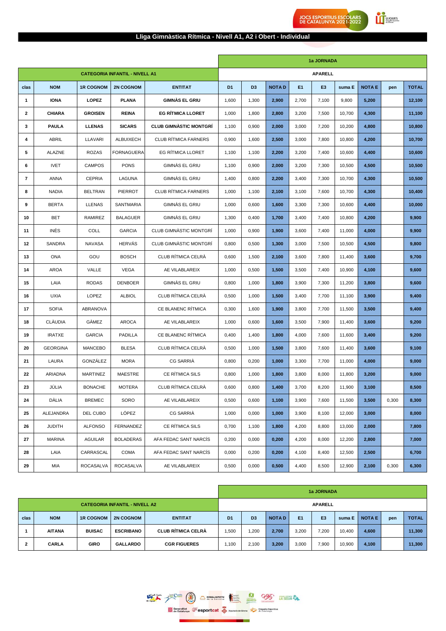#### **Lliga Gimnàstica Rítmica - Nivell A1, A2 i Obert - Individual**

**Exercise** 

**JOCS ESPORTIUS ESCOLARS<br>DE CATALUNYA 2021-2022** 

|                |                 |                  |                                       |                               |                |                |              |                | 1a JORNADA     |        |               |       |              |
|----------------|-----------------|------------------|---------------------------------------|-------------------------------|----------------|----------------|--------------|----------------|----------------|--------|---------------|-------|--------------|
|                |                 |                  | <b>CATEGORIA INFANTIL - NIVELL A1</b> |                               |                |                |              |                | <b>APARELL</b> |        |               |       |              |
| clas           | <b>NOM</b>      | <b>1R COGNOM</b> | <b>2N COGNOM</b>                      | <b>ENTITAT</b>                | D <sub>1</sub> | D <sub>3</sub> | <b>NOTAD</b> | E <sub>1</sub> | E <sub>3</sub> | suma E | <b>NOTA E</b> | pen   | <b>TOTAL</b> |
| 1              | <b>IONA</b>     | <b>LOPEZ</b>     | <b>PLANA</b>                          | <b>GIMNAS EL GRIU</b>         | 1,600          | 1,300          | 2,900        | 2,700          | 7,100          | 9,800  | 5,200         |       | 12,100       |
| $\overline{2}$ | <b>CHIARA</b>   | <b>GROISEN</b>   | <b>REINA</b>                          | <b>EG RÍTMICA LLORET</b>      | 1,000          | 1,800          | 2,800        | 3,200          | 7,500          | 10,700 | 4,300         |       | 11,100       |
| 3              | <b>PAULA</b>    | <b>LLENAS</b>    | <b>SICARS</b>                         | <b>CLUB GIMNASTIC MONTGRÍ</b> | 1,100          | 0,900          | 2,000        | 3,000          | 7,200          | 10,200 | 4,800         |       | 10,800       |
| 4              | ABRIL           | LLAVARI          | <b>ALBUIXECH</b>                      | <b>CLUB RÍTMICA FARNERS</b>   | 0,900          | 1,600          | 2,500        | 3,000          | 7,800          | 10,800 | 4,200         |       | 10,700       |
| 5              | ALAZNE          | <b>ROZAS</b>     | <b>FORNAGUERA</b>                     | EG RÍTMICA LLORET             | 1,100          | 1,100          | 2,200        | 3,200          | 7,400          | 10,600 | 4,400         |       | 10,600       |
| 6              | <b>IVET</b>     | <b>CAMPOS</b>    | <b>PONS</b>                           | GIMNAS EL GRIU                | 1,100          | 0,900          | 2,000        | 3,200          | 7,300          | 10,500 | 4,500         |       | 10,500       |
| $\overline{7}$ | <b>ANNA</b>     | <b>CEPRIA</b>    | LAGUNA                                | GIMNAS EL GRIU                | 1,400          | 0,800          | 2,200        | 3,400          | 7,300          | 10,700 | 4,300         |       | 10,500       |
| 8              | <b>NADIA</b>    | <b>BELTRAN</b>   | <b>PIERROT</b>                        | <b>CLUB RÍTMICA FARNERS</b>   | 1,000          | 1,100          | 2,100        | 3,100          | 7,600          | 10,700 | 4,300         |       | 10,400       |
| 9              | <b>BERTA</b>    | <b>LLENAS</b>    | <b>SANTMARIA</b>                      | GIMNAS EL GRIU                | 1,000          | 0,600          | 1,600        | 3,300          | 7,300          | 10,600 | 4,400         |       | 10,000       |
| 10             | <b>BET</b>      | RAMIREZ          | <b>BALAGUER</b>                       | GIMNAS EL GRIU                | 1,300          | 0,400          | 1,700        | 3,400          | 7,400          | 10,800 | 4,200         |       | 9,900        |
| 11             | <b>INES</b>     | <b>COLL</b>      | <b>GARCIA</b>                         | CLUB GIMNASTIC MONTGRI        | 1,000          | 0,900          | 1,900        | 3,600          | 7,400          | 11,000 | 4,000         |       | 9,900        |
| 12             | SANDRA          | <b>NAVASA</b>    | <b>HERVAS</b>                         | CLUB GIMNÀSTIC MONTGRÍ        | 0,800          | 0,500          | 1,300        | 3,000          | 7,500          | 10,500 | 4,500         |       | 9,800        |
| 13             | <b>ONA</b>      | GOU              | <b>BOSCH</b>                          | CLUB RÍTMICA CELRÀ            | 0,600          | 1,500          | 2,100        | 3,600          | 7,800          | 11,400 | 3,600         |       | 9,700        |
| 14             | AROA            | VALLE            | <b>VEGA</b>                           | AE VILABLAREIX                | 1,000          | 0,500          | 1,500        | 3,500          | 7,400          | 10,900 | 4,100         |       | 9,600        |
| 15             | LAIA            | <b>RODAS</b>     | <b>DENBOER</b>                        | GIMNAS EL GRIU                | 0,800          | 1,000          | 1,800        | 3,900          | 7,300          | 11,200 | 3,800         |       | 9,600        |
| 16             | <b>UXIA</b>     | LOPEZ            | <b>ALBIOL</b>                         | CLUB RÍTMICA CELRÀ            | 0,500          | 1,000          | 1,500        | 3,400          | 7,700          | 11,100 | 3,900         |       | 9,400        |
| 17             | <b>SOFIA</b>    | ABRANOVA         |                                       | CE BLANENC RÍTMICA            | 0,300          | 1,600          | 1,900        | 3,800          | 7,700          | 11,500 | 3,500         |       | 9,400        |
| 18             | CLÀUDIA         | GÀMEZ            | AROCA                                 | AE VILABLAREIX                | 1,000          | 0,600          | 1,600        | 3,500          | 7,900          | 11,400 | 3,600         |       | 9,200        |
| 19             | <b>IRATXE</b>   | <b>GARCIA</b>    | PADILLA                               | CE BLANENC RÍTMICA            | 0,400          | 1,400          | 1,800        | 4,000          | 7,600          | 11,600 | 3,400         |       | 9,200        |
| 20             | <b>GEORGINA</b> | <b>MANCEBO</b>   | <b>BLESA</b>                          | CLUB RÍTMICA CELRÀ            | 0,500          | 1,000          | 1,500        | 3,800          | 7,600          | 11,400 | 3,600         |       | 9,100        |
| 21             | LAURA           | GONZÁLEZ         | <b>MORA</b>                           | CG SARRIÀ                     | 0,800          | 0,200          | 1,000        | 3,300          | 7,700          | 11,000 | 4,000         |       | 9,000        |
| 22             | ARIADNA         | MARTINEZ         | <b>MAESTRE</b>                        | CE RÍTMICA SILS               | 0,800          | 1,000          | 1,800        | 3,800          | 8,000          | 11,800 | 3,200         |       | 9,000        |
| 23             | JÚLIA           | <b>BONACHE</b>   | <b>MOTERA</b>                         | CLUB RÍTMICA CELRÀ            | 0,600          | 0,800          | 1,400        | 3,700          | 8,200          | 11,900 | 3,100         |       | 8,500        |
| 24             | DÀLIA           | <b>BREMEC</b>    | SORO                                  | AE VILABLAREIX                | 0,500          | 0,600          | 1,100        | 3,900          | 7,600          | 11,500 | 3,500         | 0,300 | 8,300        |
| 25             | ALEJANDRA       | DEL CUBO         | LÓPEZ                                 | CG SARRIÀ                     | 1,000          | 0,000          | 1,000        | 3,900          | 8,100          | 12,000 | 3,000         |       | 8,000        |
| 26             | <b>JUDITH</b>   | <b>ALFONSO</b>   | FERNANDEZ                             | CE RÍTMICA SILS               | 0,700          | 1,100          | 1,800        | 4,200          | 8,800          | 13,000 | 2,000         |       | 7,800        |
| 27             | <b>MARINA</b>   | <b>AGUILAR</b>   | <b>BOLADERAS</b>                      | AFA FEDAC SANT NARCIS         | 0,200          | 0,000          | 0,200        | 4,200          | 8,000          | 12,200 | 2,800         |       | 7,000        |
| 28             | LAIA            | CARRASCAL        | COMA                                  | AFA FEDAC SANT NARCÍS         | 0,000          | 0,200          | 0,200        | 4,100          | 8,400          | 12,500 | 2,500         |       | 6,700        |
| 29             | MIA             | <b>ROCASALVA</b> | <b>ROCASALVA</b>                      | AE VILABLAREIX                | 0,500          | 0,000          | 0,500        | 4,400          | 8,500          | 12,900 | 2,100         | 0,300 | 6,300        |

|      |               |                  |                                       |                           |                |                |              |                | 1a JORNADA     |        |               |     |              |
|------|---------------|------------------|---------------------------------------|---------------------------|----------------|----------------|--------------|----------------|----------------|--------|---------------|-----|--------------|
|      |               |                  | <b>CATEGORIA INFANTIL - NIVELL A2</b> |                           |                |                |              |                | <b>APARELL</b> |        |               |     |              |
| clas | <b>NOM</b>    | <b>1R COGNOM</b> | <b>2N COGNOM</b>                      | <b>ENTITAT</b>            | D <sub>1</sub> | D <sub>3</sub> | <b>NOTAD</b> | E <sub>1</sub> | E <sub>3</sub> | suma E | <b>NOTA E</b> | pen | <b>TOTAL</b> |
|      | <b>AITANA</b> | <b>BUISAC</b>    | <b>ESCRIBANO</b>                      | <b>CLUB RÍTMICA CELRÀ</b> | 1,500          | 1,200          | 2,700        | 3,200          | 7,200          | 10,400 | 4,600         |     | 11,300       |
| 2    | <b>CARLA</b>  | <b>GIRO</b>      | <b>GALLARDO</b>                       | <b>CGR FIGUERES</b>       | 1,100          | 2,100          | 3,200        | 3,000          | 7,900          | 10,900 | 4,100         |     | 11,300       |

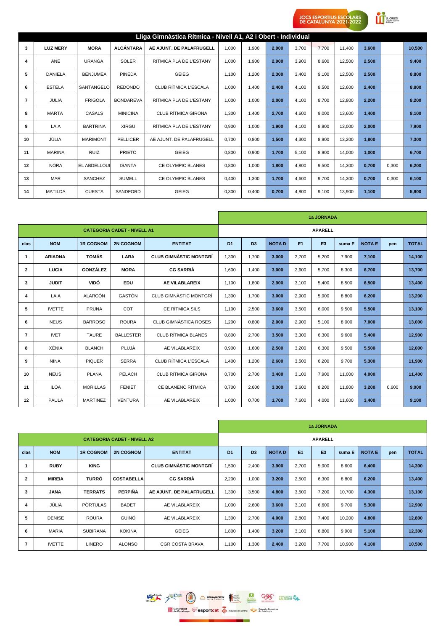**CONTINGUES** 

|                |                 |                 |                  | Lliga Gimnàstica Rítmica - Nivell A1, A2 i Obert - Individual |       |       |       |       |       |        |       |       |        |
|----------------|-----------------|-----------------|------------------|---------------------------------------------------------------|-------|-------|-------|-------|-------|--------|-------|-------|--------|
| 3              | <b>LUZ MERY</b> | <b>MORA</b>     | <b>ALCÁNTARA</b> | AE AJUNT. DE PALAFRUGELL                                      | 1.000 | 1.900 | 2.900 | 3.700 | 7.700 | 11.400 | 3,600 |       | 10,500 |
| 4              | <b>ANE</b>      | <b>URANGA</b>   | <b>SOLER</b>     | RÍTMICA PLA DE L'ESTANY                                       | 1.000 | 1.900 | 2,900 | 3.900 | 8.600 | 12,500 | 2,500 |       | 9.400  |
| 5              | <b>DANIELA</b>  | <b>BENJUMEA</b> | <b>PINEDA</b>    | <b>GEIEG</b>                                                  | 1,100 | 1,200 | 2,300 | 3,400 | 9,100 | 12,500 | 2,500 |       | 8,800  |
| 6              | <b>ESTELA</b>   | SANTANGELO      | <b>REDONDO</b>   | CLUB RÍTMICA L'ESCALA                                         | 1.000 | 1.400 | 2,400 | 4.100 | 8.500 | 12,600 | 2,400 |       | 8,800  |
| $\overline{7}$ | <b>JULIA</b>    | <b>FRIGOLA</b>  | <b>BONDAREVA</b> | RÍTMICA PLA DE L'ESTANY                                       | 1.000 | 1.000 | 2,000 | 4.100 | 8.700 | 12,800 | 2,200 |       | 8,200  |
| 8              | <b>MARTA</b>    | <b>CASALS</b>   | <b>MINICINA</b>  | <b>CLUB RÍTMICA GIRONA</b>                                    | 1.300 | 1.400 | 2.700 | 4.600 | 9.000 | 13.600 | 1.400 |       | 8,100  |
| 9              | LAIA            | <b>BARTRINA</b> | XIRGU            | RÍTMICA PLA DE L'ESTANY                                       | 0,900 | 1,000 | 1,900 | 4,100 | 8,900 | 13,000 | 2,000 |       | 7,900  |
| 10             | JÚLIA           | <b>MARIMONT</b> | <b>PELLICER</b>  | AE AJUNT. DE PALAFRUGELL                                      | 0.700 | 0,800 | 1,500 | 4,300 | 8,900 | 13,200 | 1,800 |       | 7,300  |
| 11             | <b>MARINA</b>   | <b>RUIZ</b>     | <b>PRIETO</b>    | <b>GEIEG</b>                                                  | 0,800 | 0,900 | 1,700 | 5,100 | 8,900 | 14,000 | 1,000 |       | 6,700  |
| 12             | <b>NORA</b>     | EL ABDELLOUI    | <b>ISANTA</b>    | <b>CE OLYMPIC BLANES</b>                                      | 0.800 | 1.000 | 1,800 | 4.800 | 9.500 | 14,300 | 0.700 | 0.300 | 6,200  |
| 13             | <b>MAR</b>      | <b>SANCHEZ</b>  | <b>SUMELL</b>    | <b>CE OLYMPIC BLANES</b>                                      | 0.400 | 1.300 | 1.700 | 4.600 | 9.700 | 14.300 | 0.700 | 0.300 | 6.100  |
| 14             | <b>MATILDA</b>  | <b>CUESTA</b>   | <b>SANDFORD</b>  | <b>GEIEG</b>                                                  | 0,300 | 0,400 | 0,700 | 4,800 | 9,100 | 13,900 | 1,100 |       | 5,800  |

|                |                |                  |                                    |                               |                |                |              |       | 1a JORNADA     |        |               |       |              |
|----------------|----------------|------------------|------------------------------------|-------------------------------|----------------|----------------|--------------|-------|----------------|--------|---------------|-------|--------------|
|                |                |                  | <b>CATEGORIA CADET - NIVELL A1</b> |                               |                |                |              |       | <b>APARELL</b> |        |               |       |              |
| clas           | <b>NOM</b>     | <b>1R COGNOM</b> | <b>2N COGNOM</b>                   | <b>ENTITAT</b>                | D <sub>1</sub> | D <sub>3</sub> | <b>NOTAD</b> | E1    | E <sub>3</sub> | suma E | <b>NOTA E</b> | pen   | <b>TOTAL</b> |
| $\mathbf{1}$   | <b>ARIADNA</b> | <b>TOMÁS</b>     | LARA                               | <b>CLUB GIMNASTIC MONTGRÍ</b> | 1,300          | 1,700          | 3,000        | 2,700 | 5,200          | 7,900  | 7,100         |       | 14,100       |
| 2              | LUCIA          | <b>GONZÁLEZ</b>  | <b>MORA</b>                        | <b>CG SARRIÀ</b>              | 1,600          | 1,400          | 3,000        | 2,600 | 5,700          | 8,300  | 6,700         |       | 13,700       |
| 3              | <b>JUDIT</b>   | VIDÓ             | EDU                                | AE VILABLAREIX                | 1,100          | 1,800          | 2,900        | 3,100 | 5,400          | 8,500  | 6,500         |       | 13,400       |
| 4              | LAIA           | <b>ALARCÓN</b>   | GASTÓN                             | CLUB GIMNASTIC MONTGRÍ        | 1,300          | 1,700          | 3,000        | 2,900 | 5,900          | 8,800  | 6,200         |       | 13,200       |
| 5              | <b>IVETTE</b>  | <b>PRUNA</b>     | COT                                | <b>CE RÍTMICA SILS</b>        | 1,100          | 2,500          | 3,600        | 3,500 | 6,000          | 9,500  | 5,500         |       | 13,100       |
| 6              | <b>NEUS</b>    | <b>BARROSO</b>   | <b>ROURA</b>                       | CLUB GIMNÀSTICA ROSES         | 1,200          | 0,800          | 2,000        | 2,900 | 5,100          | 8,000  | 7,000         |       | 13,000       |
| $\overline{7}$ | <b>IVET</b>    | <b>TAURE</b>     | <b>BALLESTER</b>                   | <b>CLUB RÍTMICA BLANES</b>    | 0,800          | 2.700          | 3,500        | 3,300 | 6,300          | 9.600  | 5,400         |       | 12,900       |
| 8              | XÈNIA          | <b>BLANCH</b>    | PLUJÀ                              | AE VILABLAREIX                | 0,900          | 1,600          | 2,500        | 3,200 | 6,300          | 9,500  | 5,500         |       | 12,000       |
| 9              | <b>NINA</b>    | <b>PIQUER</b>    | <b>SERRA</b>                       | CLUB RÍTMICA L'ESCALA         | 1,400          | 1,200          | 2,600        | 3,500 | 6,200          | 9,700  | 5,300         |       | 11,900       |
| 10             | <b>NEUS</b>    | <b>PLANA</b>     | PELACH                             | CLUB RÍTMICA GIRONA           | 0,700          | 2,700          | 3,400        | 3,100 | 7,900          | 11,000 | 4,000         |       | 11,400       |
| 11             | <b>ILOA</b>    | <b>MORILLAS</b>  | <b>FENIET</b>                      | CE BLANENC RÍTMICA            | 0,700          | 2,600          | 3,300        | 3,600 | 8,200          | 11,800 | 3,200         | 0,600 | 9,900        |
| 12             | <b>PAULA</b>   | <b>MARTINEZ</b>  | <b>VENTURA</b>                     | AE VILABLAREIX                | 1,000          | 0,700          | 1,700        | 7,600 | 4,000          | 11,600 | 3,400         |       | 9,100        |

|                |               |                  |                                    |                               |                |                |              |                | 1a JORNADA     |        |               |     |              |
|----------------|---------------|------------------|------------------------------------|-------------------------------|----------------|----------------|--------------|----------------|----------------|--------|---------------|-----|--------------|
|                |               |                  | <b>CATEGORIA CADET - NIVELL A2</b> |                               |                |                |              |                | <b>APARELL</b> |        |               |     |              |
| clas           | <b>NOM</b>    | <b>1R COGNOM</b> | <b>2N COGNOM</b>                   | <b>ENTITAT</b>                | D <sub>1</sub> | D <sub>3</sub> | <b>NOTAD</b> | E <sub>1</sub> | E <sub>3</sub> | suma E | <b>NOTA E</b> | pen | <b>TOTAL</b> |
|                | <b>RUBY</b>   | <b>KING</b>      |                                    | <b>CLUB GIMNASTIC MONTGRÍ</b> | 1,500          | 2,400          | 3,900        | 2,700          | 5,900          | 8,600  | 6,400         |     | 14,300       |
| $\overline{2}$ | <b>MIREIA</b> | <b>TURRÓ</b>     | <b>COSTABELLA</b>                  | <b>CG SARRIÀ</b>              | 2,200          | 1,000          | 3,200        | 2,500          | 6,300          | 8,800  | 6,200         |     | 13,400       |
| 3              | <b>JANA</b>   | <b>TERRATS</b>   | <b>PERPIÑA</b>                     | AE AJUNT. DE PALAFRUGELL      | 1,300          | 3,500          | 4,800        | 3,500          | 7,200          | 10,700 | 4,300         |     | 13,100       |
| 4              | JÚLIA         | <b>PORTULAS</b>  | <b>BADET</b>                       | AE VILABLAREIX                | 1,000          | 2,600          | 3,600        | 3,100          | 6,600          | 9,700  | 5,300         |     | 12,900       |
| 5              | <b>DENISE</b> | <b>ROURA</b>     | <b>GUINÓ</b>                       | AE VILABLAREIX                | 1,300          | 2,700          | 4,000        | 2,800          | 7,400          | 10,200 | 4,800         |     | 12,800       |
| 6              | <b>MARIA</b>  | <b>SUBIRANA</b>  | <b>KOKINA</b>                      | <b>GEIEG</b>                  | 1,800          | 1,400          | 3,200        | 3,100          | 6,800          | 9,900  | 5,100         |     | 12,300       |
| $\overline{7}$ | <b>IVETTE</b> | <b>LINERO</b>    | <b>ALONSO</b>                      | <b>CGR COSTA BRAVA</b>        | 1,100          | 1,300          | 2,400        | 3,200          | 7,700          | 10,900 | 4,100         |     | 10,500       |

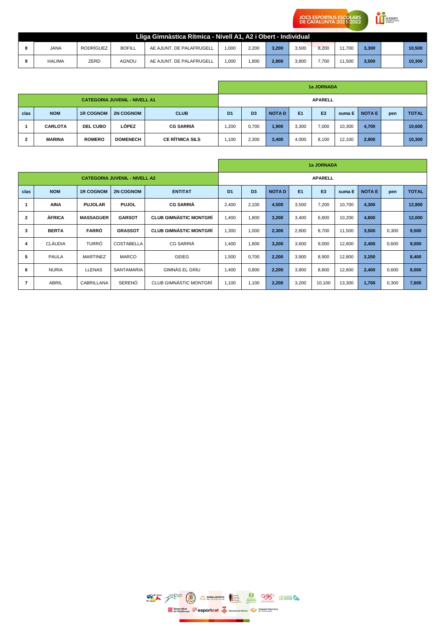**CONTINGUES** 

|               |           |               | Lliga Gimnàstica Rítmica - Nivell A1, A2 i Obert - Individual |       |       |       |       |       |        |       |        |
|---------------|-----------|---------------|---------------------------------------------------------------|-------|-------|-------|-------|-------|--------|-------|--------|
| <b>JANA</b>   | RODRÍGUEZ | <b>BOFILL</b> | AE AJUNT. DE PALAFRUGELL                                      | 1.000 | 2.200 | 3.200 | 3.500 | 8.200 | 11.700 | 3,300 | 10.500 |
| <b>HALIMA</b> | ZERD      | AGNOU         | AE AJUNT. DE PALAFRUGELL                                      | 1.000 | .800  | 2.800 | 3.800 | 7.700 | 11.500 | 3,500 | 10.300 |

|      |                                      | 1a JORNADA       |                  |                  |                |                |              |                |                |        |              |     |              |  |  |
|------|--------------------------------------|------------------|------------------|------------------|----------------|----------------|--------------|----------------|----------------|--------|--------------|-----|--------------|--|--|
|      | <b>CATEGORIA JUVENIL - NIVELL A1</b> |                  |                  |                  |                | <b>APARELL</b> |              |                |                |        |              |     |              |  |  |
| clas | <b>NOM</b>                           | <b>1R COGNOM</b> | <b>2N COGNOM</b> | <b>CLUB</b>      | D <sub>1</sub> | D <sub>3</sub> | <b>NOTAD</b> | E <sub>1</sub> | E <sub>3</sub> | suma E | <b>NOTAE</b> | pen | <b>TOTAL</b> |  |  |
|      | <b>CARLOTA</b>                       | <b>DEL CUBO</b>  | LÓPEZ            | <b>CG SARRIÀ</b> | .200           | 0,700          | 1,900        | 3,300          | 7,000          | 10,300 | 4,700        |     | 10,600       |  |  |
| 2    | <b>MARINA</b>                        | <b>ROMERO</b>    | <b>DOMENECH</b>  | CE RÍTMICA SILS  | 1,100          | 2,300          | 3,400        | 4,000          | 8,100          | 12,100 | 2,900        |     | 10,300       |  |  |

|                                                                              |                |                  | 1a JORNADA                           |                               |                |                |              |                |                |        |              |       |              |  |  |
|------------------------------------------------------------------------------|----------------|------------------|--------------------------------------|-------------------------------|----------------|----------------|--------------|----------------|----------------|--------|--------------|-------|--------------|--|--|
|                                                                              |                |                  | <b>CATEGORIA JUVENIL - NIVELL A2</b> |                               | <b>APARELL</b> |                |              |                |                |        |              |       |              |  |  |
| <b>NOM</b><br>clas<br><b>ENTITAT</b><br><b>1R COGNOM</b><br><b>2N COGNOM</b> |                |                  |                                      |                               | D <sub>1</sub> | D <sub>3</sub> | <b>NOTAD</b> | E <sub>1</sub> | E <sub>3</sub> | suma E | <b>NOTAE</b> | pen   | <b>TOTAL</b> |  |  |
|                                                                              | <b>AINA</b>    | <b>PUJOLAR</b>   | <b>PUJOL</b>                         | <b>CG SARRIA</b>              | 2,400          | 2,100          | 4,500        | 3,500          | 7,200          | 10,700 | 4,300        |       | 12,800       |  |  |
| $\overline{2}$                                                               | <b>AFRICA</b>  | <b>MASSAGUER</b> | <b>GARSOT</b>                        | <b>CLUB GIMNASTIC MONTGRÍ</b> | 1,400          | 1,800          | 3,200        | 3,400          | 6,800          | 10,200 | 4,800        |       | 12,000       |  |  |
| 3                                                                            | <b>BERTA</b>   | <b>FARRÓ</b>     | <b>GRASSOT</b>                       | <b>CLUB GIMNASTIC MONTGRÍ</b> | 1,300          | 1,000          | 2,300        | 2,800          | 8,700          | 11,500 | 3,500        | 0,300 | 9,500        |  |  |
| 4                                                                            | <b>CLÀUDIA</b> | TURRÓ            | <b>COSTABELLA</b>                    | <b>CG SARRIÀ</b>              | 1,400          | 1,800          | 3,200        | 3,600          | 9,000          | 12,600 | 2,400        | 0,600 | 9,000        |  |  |
| 5                                                                            | <b>PAULA</b>   | <b>MARTINEZ</b>  | <b>MARCO</b>                         | <b>GEIEG</b>                  | 1,500          | 0,700          | 2,200        | 3,900          | 8,900          | 12,800 | 2,200        |       | 8,400        |  |  |
| 6                                                                            | <b>NURIA</b>   | <b>LLENAS</b>    | <b>SANTAMARIA</b>                    | GIMNAS EL GRIU                | 1,400          | 0,800          | 2,200        | 3,800          | 8,800          | 12,600 | 2,400        | 0,600 | 8,000        |  |  |
|                                                                              | <b>ABRIL</b>   | CABRILLANA       | <b>SERENÓ</b>                        | CLUB GIMNASTIC MONTGRÍ        | 1,100          | 1.100          | 2,200        | 3,200          | 10,100         | 13,300 | 1,700        | 0,300 | 7,600        |  |  |

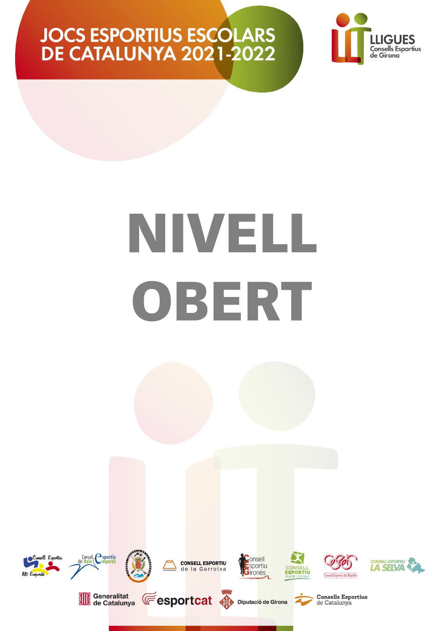

## NIVELL OBERT

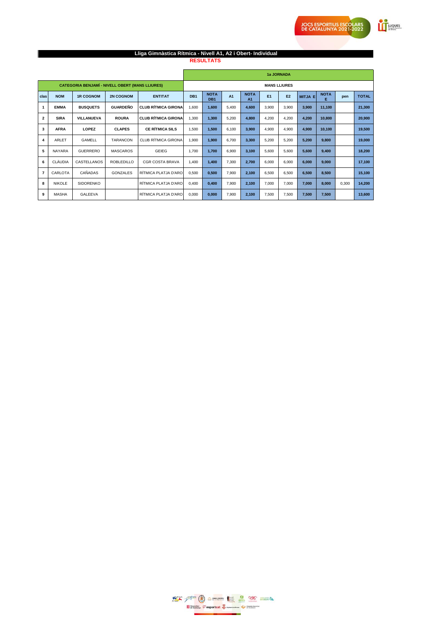**Exercise** 

### **Lliga Gimnàstica Rítmica - Nivell A1, A2 i Obert- Individual**

**RESULTATS** 

|                         |                                                                      |                                                        |                   |                            |                     |                                |       |                               |       | 1a JORNADA     |                |                  |       |              |  |  |
|-------------------------|----------------------------------------------------------------------|--------------------------------------------------------|-------------------|----------------------------|---------------------|--------------------------------|-------|-------------------------------|-------|----------------|----------------|------------------|-------|--------------|--|--|
|                         |                                                                      | <b>CATEGORIA BENJAMÍ - NIVELL OBERT (MANS LLIURES)</b> |                   |                            | <b>MANS LLIURES</b> |                                |       |                               |       |                |                |                  |       |              |  |  |
| clas                    | <b>NOM</b><br><b>1R COGNOM</b><br><b>2N COGNOM</b><br><b>ENTITAT</b> |                                                        |                   |                            |                     | <b>NOTA</b><br>DB <sub>1</sub> | A1    | <b>NOTA</b><br>A <sub>1</sub> | E1    | E <sub>2</sub> | <b>MITJA E</b> | <b>NOTA</b><br>Е | pen   | <b>TOTAL</b> |  |  |
| $\mathbf{1}$            | <b>EMMA</b>                                                          | <b>BUSQUETS</b>                                        | <b>GUARDEÑO</b>   | <b>CLUB RÍTMICA GIRONA</b> | 1.600               | 1,600                          | 5.400 | 4,600                         | 3.900 | 3.900          | 3.900          | 11.100           |       | 21,300       |  |  |
| $\overline{2}$          | <b>SIRA</b>                                                          | VILLANUEVA                                             | <b>ROURA</b>      | <b>CLUB RÍTMICA GIRONA</b> | 1,300               | 1,300                          | 5,200 | 4,800                         | 4,200 | 4,200          | 4,200          | 10,800           |       | 20,900       |  |  |
| 3                       | <b>AFRA</b>                                                          | LOPEZ                                                  | <b>CLAPES</b>     | <b>CE RÍTMICA SILS</b>     | 1,500               | 1,500                          | 6,100 | 3,900                         | 4,900 | 4,900          | 4,900          | 10,100           |       | 19,500       |  |  |
| $\overline{\mathbf{4}}$ | ARLET                                                                | GAMELL                                                 | <b>TARANCON</b>   | <b>CLUB RÍTMICA GIRONA</b> | 1,900               | 1,900                          | 6.700 | 3,300                         | 5,200 | 5,200          | 5,200          | 9,800            |       | 19,000       |  |  |
| 5                       | <b>NAYARA</b>                                                        | <b>GUERRERO</b>                                        | <b>MASCAROS</b>   | GEIEG                      | 1.700               | 1.700                          | 6.900 | 3,100                         | 5,600 | 5.600          | 5,600          | 9,400            |       | 18,200       |  |  |
| 6                       | CLÀUDIA                                                              | CASTELLANOS                                            | <b>ROBLEDILLO</b> | <b>CGR COSTA BRAVA</b>     | 1,400               | 1,400                          | 7.300 | 2,700                         | 6,000 | 6.000          | 6,000          | 9,000            |       | 17,100       |  |  |
| $\overline{7}$          | CARLOTA                                                              | CAÑADAS                                                | <b>GONZALES</b>   | RÍTMICA PLATJA D'ARO       | 0,500               | 0,500                          | 7.900 | 2,100                         | 6,500 | 6,500          | 6,500          | 8,500            |       | 15,100       |  |  |
| 8                       | <b>NIKOLE</b>                                                        | <b>SIDORENKO</b>                                       |                   | RÍTMICA PLATJA D'ARO       | 0,400               | 0,400                          | 7.900 | 2,100                         | 7,000 | 7,000          | 7,000          | 8,000            | 0,300 | 14,200       |  |  |
| 9                       | <b>MASHA</b>                                                         | <b>GALEEVA</b>                                         |                   | RÍTMICA PLATJA D'ARO       | 0,000               | 0,000                          | 7,900 | 2,100                         | 7,500 | 7,500          | 7,500          | 7,500            |       | 13,600       |  |  |

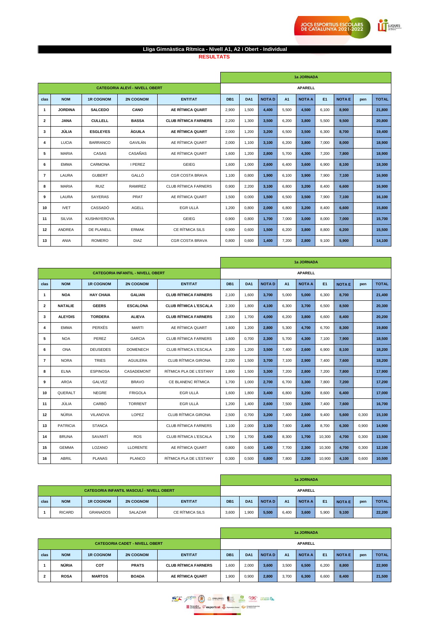**EXECUTES** 

### Lliga Gimnàstica Rítmica - Nivell A1, A2 i Obert - Individual<br>RESULTATS

|      |                                                                                                                                                                                                                                                                                                                                                                                                                                                                                                                                                                                                                                                                  |               |              |                             | 1a JORNADA      |                 |              |       |               |       |               |     |              |  |
|------|------------------------------------------------------------------------------------------------------------------------------------------------------------------------------------------------------------------------------------------------------------------------------------------------------------------------------------------------------------------------------------------------------------------------------------------------------------------------------------------------------------------------------------------------------------------------------------------------------------------------------------------------------------------|---------------|--------------|-----------------------------|-----------------|-----------------|--------------|-------|---------------|-------|---------------|-----|--------------|--|
|      | <b>CATEGORIA ALEVÍ - NIVELL OBERT</b><br><b>NOM</b><br><b>1R COGNOM</b><br><b>2N COGNOM</b><br><b>ENTITAT</b><br>AE RÍTMICA QUART<br><b>SALCEDO</b><br>CANO<br>1<br><b>JORDINA</b><br>$\overline{\mathbf{2}}$<br><b>JANA</b><br><b>CULLELL</b><br><b>BASSA</b><br>JÚLIA<br><b>ÀGUILA</b><br>AE RÍTMICA QUART<br><b>ESGLEYES</b><br>3<br>AE RÍTMICA QUART<br>GAVILÁN<br>4<br><b>LUCIA</b><br><b>BARRANCO</b><br>CASAÑAS<br>AE RÍTMICA QUART<br>5<br><b>MARIA</b><br>CASAS<br><b>EMMA</b><br>CARMONA<br><b>I PEREZ</b><br>GEIEG<br>6<br>$\overline{7}$<br>GALLÓ<br>LAURA<br><b>GUBERT</b><br><b>CGR COSTA BRAVA</b><br>8<br><b>MARIA</b><br><b>RUIZ</b><br>RAMIREZ |               |              | <b>APARELL</b>              |                 |                 |              |       |               |       |               |     |              |  |
| clas |                                                                                                                                                                                                                                                                                                                                                                                                                                                                                                                                                                                                                                                                  |               |              |                             | DB <sub>1</sub> | DA <sub>1</sub> | <b>NOTAD</b> | A1    | <b>NOTA A</b> | E1    | <b>NOTA E</b> | pen | <b>TOTAL</b> |  |
|      |                                                                                                                                                                                                                                                                                                                                                                                                                                                                                                                                                                                                                                                                  |               |              |                             | 2,900           | 1,500           | 4,400        | 5,500 | 4,500         | 6,100 | 8,900         |     | 21,800       |  |
|      |                                                                                                                                                                                                                                                                                                                                                                                                                                                                                                                                                                                                                                                                  |               |              | <b>CLUB RÍTMICA FARNERS</b> | 2,200           | 1,300           | 3,500        | 6,200 | 3,800         | 5,500 | 9,500         |     | 20,800       |  |
|      |                                                                                                                                                                                                                                                                                                                                                                                                                                                                                                                                                                                                                                                                  |               |              |                             | 2.000           | 1.200           | 3,200        | 6.500 | 3.500         | 6.300 | 8.700         |     | 19.400       |  |
|      |                                                                                                                                                                                                                                                                                                                                                                                                                                                                                                                                                                                                                                                                  |               |              |                             | 2,000           | 1,100           | 3,100        | 6,200 | 3,800         | 7,000 | 8,000         |     | 18,900       |  |
|      |                                                                                                                                                                                                                                                                                                                                                                                                                                                                                                                                                                                                                                                                  |               |              |                             | 1,600           | 1,200           | 2,800        | 5,700 | 4,300         | 7,200 | 7,800         |     | 18,900       |  |
|      |                                                                                                                                                                                                                                                                                                                                                                                                                                                                                                                                                                                                                                                                  |               |              |                             | 1,600           | 1,000           | 2,600        | 6,400 | 3,600         | 6,900 | 8,100         |     | 18,300       |  |
|      |                                                                                                                                                                                                                                                                                                                                                                                                                                                                                                                                                                                                                                                                  |               |              |                             | 1.100           | 0,800           | 1,900        | 6.100 | 3,900         | 7.900 | 7,100         |     | 16,900       |  |
|      |                                                                                                                                                                                                                                                                                                                                                                                                                                                                                                                                                                                                                                                                  |               |              | <b>CLUB RÍTMICA FARNERS</b> | 0,900           | 2,200           | 3,100        | 6,800 | 3,200         | 8,400 | 6,600         |     | 16,900       |  |
| 9    | LAURA                                                                                                                                                                                                                                                                                                                                                                                                                                                                                                                                                                                                                                                            | SAYERAS       | PRAT         | AE RÍTMICA QUART            | 1,500           | 0,000           | 1,500        | 6,500 | 3,500         | 7,900 | 7,100         |     | 16,100       |  |
| 10   | <b>IVET</b>                                                                                                                                                                                                                                                                                                                                                                                                                                                                                                                                                                                                                                                      | CASSADÓ       | AGELL        | <b>EGR ULLÀ</b>             | 1,200           | 0,800           | 2,000        | 6,800 | 3,200         | 8,400 | 6,600         |     | 15,800       |  |
| 11   | SILVIA                                                                                                                                                                                                                                                                                                                                                                                                                                                                                                                                                                                                                                                           | KUSHNYEROVA   |              | GEIEG                       | 0,900           | 0.800           | 1,700        | 7,000 | 3,000         | 8.000 | 7.000         |     | 15,700       |  |
| 12   | ANDREA                                                                                                                                                                                                                                                                                                                                                                                                                                                                                                                                                                                                                                                           | DE PLANELL    | <b>ERMAK</b> | CE RÍTMICA SILS             | 0,900           | 0,600           | 1,500        | 6,200 | 3,800         | 8,800 | 6,200         |     | 15,500       |  |
| 13   | ANIA                                                                                                                                                                                                                                                                                                                                                                                                                                                                                                                                                                                                                                                             | <b>ROMERO</b> | <b>DIAZ</b>  | <b>CGR COSTA BRAVA</b>      | 0,800           | 0,600           | 1,400        | 7,200 | 2,800         | 9,100 | 5,900         |     | 14,100       |  |

|                         |                 |                  |                                          |                              | 1a JORNADA |                 |              |       |                |        |              |       |              |  |
|-------------------------|-----------------|------------------|------------------------------------------|------------------------------|------------|-----------------|--------------|-------|----------------|--------|--------------|-------|--------------|--|
|                         |                 |                  | <b>CATEGORIA INFANTIL - NIVELL OBERT</b> |                              |            |                 |              |       | <b>APARELL</b> |        |              |       |              |  |
| clas                    | <b>NOM</b>      | <b>1R COGNOM</b> | <b>2N COGNOM</b>                         | <b>ENTITAT</b>               | DB1        | DA <sub>1</sub> | <b>NOTAD</b> | A1    | <b>NOTA A</b>  | E1     | <b>NOTAE</b> | pen   | <b>TOTAL</b> |  |
| 1                       | <b>NOA</b>      | <b>HAY CHAIA</b> | <b>GALIAN</b>                            | <b>CLUB RÍTMICA FARNERS</b>  | 2,100      | 1,600           | 3,700        | 5,000 | 5,000          | 6.300  | 8,700        |       | 21,400       |  |
| $\overline{\mathbf{2}}$ | <b>NATALIE</b>  | <b>GEERS</b>     | <b>ESCALONA</b>                          | <b>CLUB RÍTMICA L'ESCALA</b> | 2,300      | 1.800           | 4,100        | 6,300 | 3.700          | 6.500  | 8.500        |       | 20,300       |  |
| 3                       | <b>ALEYDIS</b>  | <b>TORDERA</b>   | <b>ALIEVA</b>                            | <b>CLUB RÍTMICA FARNERS</b>  | 2,300      | 1.700           | 4,000        | 6,200 | 3,800          | 6.600  | 8,400        |       | 20,200       |  |
| 4                       | <b>EMMA</b>     | PERXÉS           | <b>MARTI</b>                             | AE RÍTMICA QUART             | 1,600      | 1,200           | 2,800        | 5.300 | 4.700          | 6.700  | 8.300        |       | 19.800       |  |
| 5                       | <b>NOA</b>      | PEREZ            | <b>GARCIA</b>                            | <b>CLUB RÍTMICA FARNERS</b>  | 1.600      | 0.700           | 2.300        | 5.700 | 4.300          | 7.100  | 7.900        |       | 18.500       |  |
| 6                       | <b>ONA</b>      | <b>DEUSEDES</b>  | <b>DOMENECH</b>                          | CLUB RÍTMICA L'ESCALA        | 2,300      | 1,200           | 3,500        | 7,400 | 2,600          | 6.900  | 8,100        |       | 18,200       |  |
| $\overline{7}$          | <b>NORA</b>     | <b>TRIES</b>     | <b>AGUILERA</b>                          | <b>CLUB RÍTMICA GIRONA</b>   | 2,200      | 1,500           | 3,700        | 7,100 | 2,900          | 7.400  | 7,600        |       | 18,200       |  |
| 8                       | <b>ELNA</b>     | <b>ESPINOSA</b>  | CASADEMONT                               | RÍTMICA PLA DE L'ESTANY      | 1.800      | 1.500           | 3,300        | 7,200 | 2,800          | 7.200  | 7.800        |       | 17,900       |  |
| 9                       | <b>AROA</b>     | <b>GALVEZ</b>    | <b>BRAVO</b>                             | CE BLANENC RÍTMICA           | 1.700      | 1.000           | 2.700        | 6.700 | 3,300          | 7.800  | 7.200        |       | 17.200       |  |
| 10                      | QUERALT         | <b>NEGRE</b>     | <b>FRIGOLA</b>                           | EGR ULLÀ                     | 1.600      | 1.800           | 3.400        | 6.800 | 3.200          | 8,600  | 6.400        |       | 17.000       |  |
| 11                      | JÚLIA           | CARBÓ            | <b>TORRENT</b>                           | EGR ULLÀ                     | 1.200      | 1.400           | 2.600        | 7.500 | 2.500          | 7.400  | 7.600        |       | 16.700       |  |
| 12                      | NÚRIA           | <b>VILANOVA</b>  | LOPEZ                                    | <b>CLUB RÍTMICA GIRONA</b>   | 2.500      | 0.700           | 3.200        | 7.400 | 2.600          | 9.400  | 5.600        | 0.300 | 15.100       |  |
| 13                      | <b>PATRICIA</b> | <b>STANCA</b>    |                                          | <b>CLUB RÍTMICA FARNERS</b>  | 1,100      | 2,000           | 3,100        | 7,600 | 2,400          | 8,700  | 6,300        | 0.900 | 14,900       |  |
| 14                      | <b>BRUNA</b>    | SAVANTÍ          | <b>ROS</b>                               | CLUB RÍTMICA L'ESCALA        | 1,700      | 1,700           | 3,400        | 8,300 | 1,700          | 10,300 | 4,700        | 0,300 | 13,500       |  |
| 15                      | <b>GEMMA</b>    | LOZANO           | <b>LLORENTE</b>                          | AE RÍTMICA QUART             | 0,800      | 0.600           | 1,400        | 7.700 | 2,300          | 10.300 | 4,700        | 0.300 | 12.100       |  |
| 16                      | ABRIL           | <b>PLANAS</b>    | <b>PLANCO</b>                            | RÍTMICA PLA DE L'ESTANY      | 0.300      | 0.500           | 0.800        | 7.800 | 2.200          | 10.900 | 4.100        | 0.600 | 10.500       |  |

|      |                                                  |                  |                  |                 |                 |                 | 1a JORNADA   |                |               |           |              |     |              |  |  |
|------|--------------------------------------------------|------------------|------------------|-----------------|-----------------|-----------------|--------------|----------------|---------------|-----------|--------------|-----|--------------|--|--|
|      | <b>CATEGORIA INFANTIL MASCULÍ - NIVELL OBERT</b> |                  |                  |                 | <b>APARELL</b>  |                 |              |                |               |           |              |     |              |  |  |
| clas | <b>NOM</b>                                       | <b>1R COGNOM</b> | <b>2N COGNOM</b> | <b>ENTITAT</b>  | DB <sub>1</sub> | DA <sub>1</sub> | <b>NOTAD</b> | A <sub>1</sub> | <b>NOTA A</b> | <b>E1</b> | <b>NOTAE</b> | pen | <b>TOTAL</b> |  |  |
|      | <b>RICARD</b>                                    | <b>GRANADOS</b>  | SALAZAR          | CE RÍTMICA SILS | 3,600           | 1,900           | 5,500        | 6,400          | 3,600         | 5,900     | 9,100        |     | 22,200       |  |  |

|                |                                       |                  |                  |                             |                                                                                                             |       | 1a JORNADA |       |       |       |       |     |              |  |  |
|----------------|---------------------------------------|------------------|------------------|-----------------------------|-------------------------------------------------------------------------------------------------------------|-------|------------|-------|-------|-------|-------|-----|--------------|--|--|
|                | <b>CATEGORIA CADET - NIVELL OBERT</b> |                  |                  |                             | <b>APARELL</b>                                                                                              |       |            |       |       |       |       |     |              |  |  |
| clas           | <b>NOM</b>                            | <b>1R COGNOM</b> | <b>2N COGNOM</b> | <b>ENTITAT</b>              | DB <sub>1</sub><br>E <sub>1</sub><br>DA <sub>1</sub><br><b>NOTAD</b><br><b>NOTA A</b><br><b>NOTAE</b><br>A1 |       |            |       |       |       |       | pen | <b>TOTAL</b> |  |  |
|                | <b>NÚRIA</b>                          | COT              | <b>PRATS</b>     | <b>CLUB RÍTMICA FARNERS</b> | 1.600                                                                                                       | 2.000 | 3,600      | 3.500 | 6,500 | 6.200 | 8,800 |     | 22.900       |  |  |
| $\overline{2}$ | <b>ROSA</b>                           | <b>MARTOS</b>    | <b>BOADA</b>     | AE RÍTMICA QUART            | 1.900                                                                                                       | 0.900 | 2,800      | 3.700 | 6.300 | 6.600 | 8,400 |     | 21.500       |  |  |